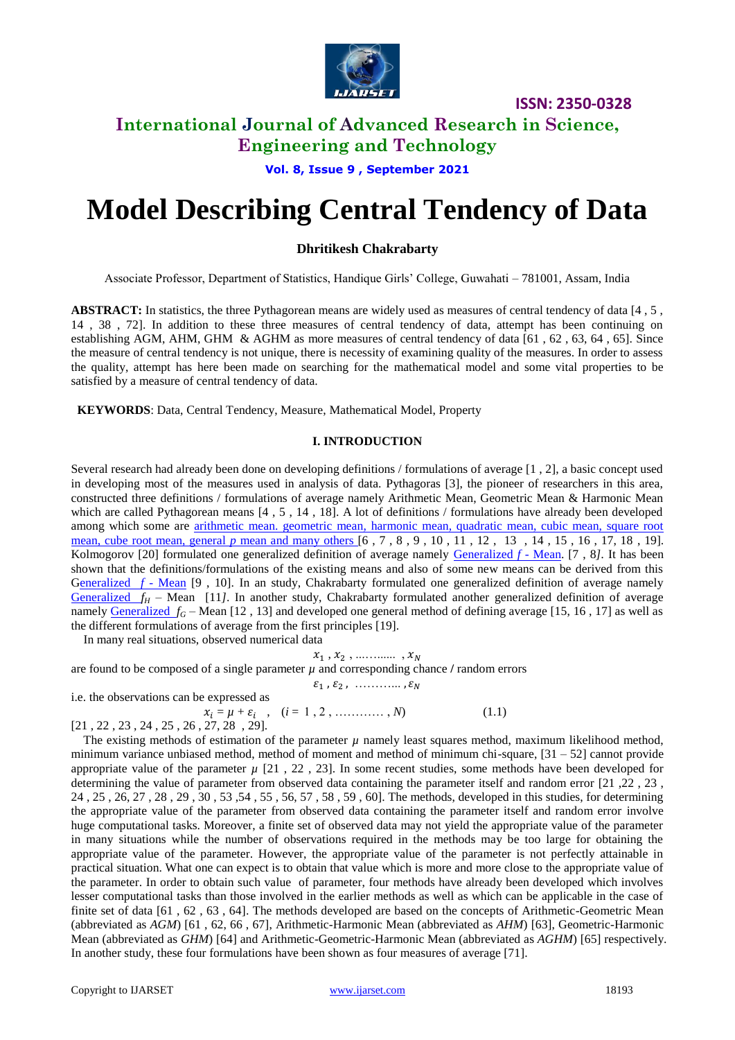

# **International Journal of Advanced Research in Science,**

**Engineering and Technology**

**Vol. 8, Issue 9 , September 2021**

# **Model Describing Central Tendency of Data**

## **Dhritikesh Chakrabarty**

Associate Professor, Department of Statistics, Handique Girls' College, Guwahati – 781001, Assam, India

ABSTRACT: In statistics, the three Pythagorean means are widely used as measures of central tendency of data [4, 5, 14 , 38 , 72]. In addition to these three measures of central tendency of data, attempt has been continuing on establishing AGM, AHM, GHM & AGHM as more measures of central tendency of data [61 , 62 , 63, 64 , 65]. Since the measure of central tendency is not unique, there is necessity of examining quality of the measures. In order to assess the quality, attempt has here been made on searching for the mathematical model and some vital properties to be satisfied by a measure of central tendency of data.

**KEYWORDS**: Data, Central Tendency, Measure, Mathematical Model, Property

#### **I. INTRODUCTION**

Several research had already been done on developing definitions / formulations of average [1 , 2], a basic concept used in developing most of the measures used in analysis of data. Pythagoras [3], the pioneer of researchers in this area, constructed three definitions / formulations of average namely Arithmetic Mean, Geometric Mean & Harmonic Mean which are called Pythagorean means [4, 5, 14, 18]. A lot of definitions / formulations have already been developed among which some are [arithmetic mean. geometric mean, harmonic mean, quadratic mean, cubic mean, square root](http://en.wikipedia.org/wiki/Geometric_mean)  mean, cube root mean, general *p* mean and many others [6, 7, 8, 9, 10, 11, 12, 13, 14, 15, 16, 17, 18, 19]. Kolmogorov [20] formulated one generalized definition of average namely [Generalized](http://en.wikipedia.org/wiki/Generalized_f-mean) *f* - Mean. [7 , 8*].* It has been shown that the definitions/formulations of the existing means and also of some new means can be derived from this [Generalized](http://en.wikipedia.org/wiki/Generalized_f-mean) *f* - Mean [9, 10]. In an study, Chakrabarty formulated one generalized definition of average namely [Generalized](http://en.wikipedia.org/wiki/Generalized_f-mean)  $f_H$  – Mean [11*]*. In another study, Chakrabarty formulated another generalized definition of average namely **Generalized**  $f_G$  – Mean [12, 13] and developed one general method of defining average [15, 16, 17] as well as the different formulations of average from the first principles [19].

In many real situations, observed numerical data

 $x_1, x_2, \dots \dots \dots$ are found to be composed of a single parameter  $\mu$  and corresponding chance  $\ell$  random errors  $\mathcal{E}_1$ ,  $\mathcal{E}_2$ , .............

i.e. the observations can be expressed as

 $x_i = \mu + \varepsilon_i$ ,  $(i = 1, 2, \dots, N)$  (1.1) [21 , 22 , 23 , 24 , 25 , 26 , 27, 28 , 29].

The existing methods of estimation of the parameter  $\mu$  namely least squares method, maximum likelihood method, minimum variance unbiased method, method of moment and method of minimum chi-square, [31 – 52] cannot provide appropriate value of the parameter  $\mu$  [21, 22, 23]. In some recent studies, some methods have been developed for determining the value of parameter from observed data containing the parameter itself and random error [21 ,22 , 23 , 24 , 25 , 26, 27 , 28 , 29 , 30 , 53 ,54 , 55 , 56, 57 , 58 , 59 , 60]. The methods, developed in this studies, for determining the appropriate value of the parameter from observed data containing the parameter itself and random error involve huge computational tasks. Moreover, a finite set of observed data may not yield the appropriate value of the parameter in many situations while the number of observations required in the methods may be too large for obtaining the appropriate value of the parameter. However, the appropriate value of the parameter is not perfectly attainable in practical situation. What one can expect is to obtain that value which is more and more close to the appropriate value of the parameter. In order to obtain such value of parameter, four methods have already been developed which involves lesser computational tasks than those involved in the earlier methods as well as which can be applicable in the case of finite set of data [61 , 62 , 63 , 64]. The methods developed are based on the concepts of Arithmetic-Geometric Mean (abbreviated as *AGM*) [61 , 62, 66 , 67], Arithmetic-Harmonic Mean (abbreviated as *AHM*) [63], Geometric-Harmonic Mean (abbreviated as *GHM*) [64] and Arithmetic-Geometric-Harmonic Mean (abbreviated as *AGHM*) [65] respectively. In another study, these four formulations have been shown as four measures of average [71].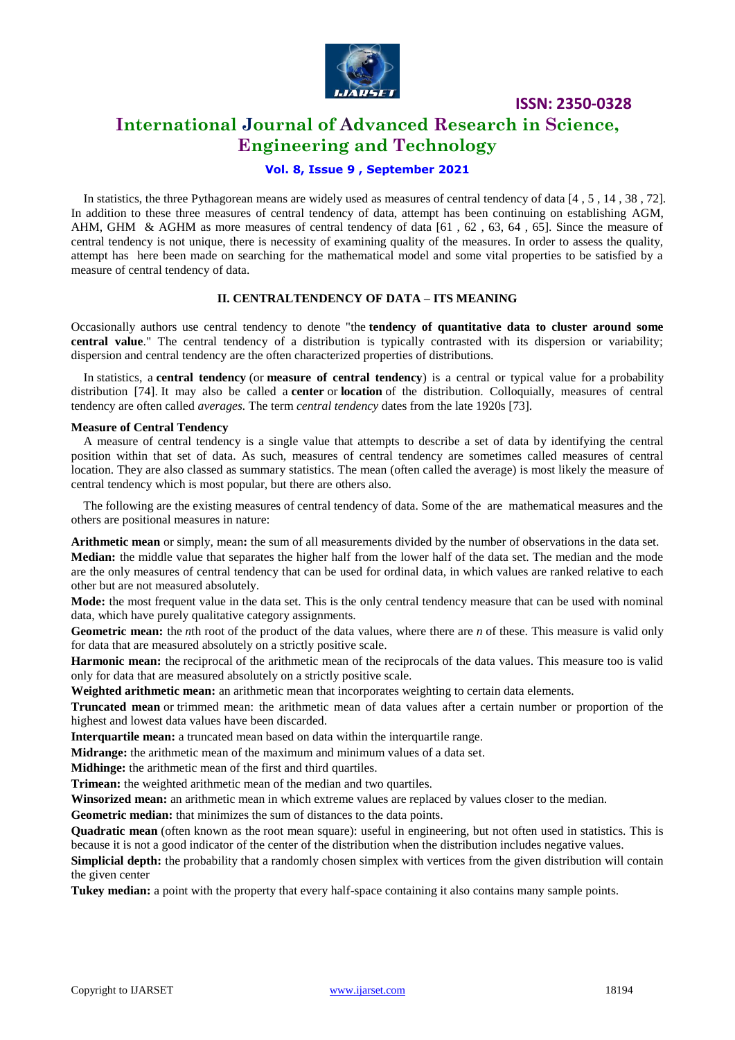

## **International Journal of Advanced Research in Science, Engineering and Technology**

## **Vol. 8, Issue 9 , September 2021**

 In statistics, the three Pythagorean means are widely used as measures of central tendency of data [4 , 5 , 14 , 38 , 72]. In addition to these three measures of central tendency of data, attempt has been continuing on establishing AGM, AHM, GHM & AGHM as more measures of central tendency of data  $[61, 62, 63, 64, 65]$ . Since the measure of central tendency is not unique, there is necessity of examining quality of the measures. In order to assess the quality, attempt has here been made on searching for the mathematical model and some vital properties to be satisfied by a measure of central tendency of data.

#### **II. CENTRALTENDENCY OF DATA – ITS MEANING**

Occasionally authors use central tendency to denote "the **tendency of quantitative data to cluster around some central value**." The central tendency of a distribution is typically contrasted with its dispersion or variability; dispersion and central tendency are the often characterized properties of distributions.

 In [statistics,](https://en.wikipedia.org/wiki/Statistics) a **central tendency** (or **measure of central tendency**) is a central or typical value for a [probability](https://en.wikipedia.org/wiki/Probability_distribution)  [distribution](https://en.wikipedia.org/wiki/Probability_distribution) [74]. It may also be called a **center** or **location** of the distribution. Colloquially, measures of central tendency are often called *[averages.](https://en.wikipedia.org/wiki/Averages)* The term *central tendency* dates from the late 1920s [73].

#### **Measure of Central Tendency**

 A measure of central tendency is a single value that attempts to describe a set of data by identifying the central position within that set of data. As such, measures of central tendency are sometimes called measures of central location. They are also classed as summary statistics. The mean (often called the average) is most likely the measure of central tendency which is most popular, but there are others also.

 The following are the existing measures of central tendency of data. Some of the are mathematical measures and the others are positional measures in nature:

**[Arithmetic mean](https://en.wikipedia.org/wiki/Arithmetic_mean)** or simply, mean**:** the sum of all measurements divided by the number of observations in the data set. **[Median:](https://en.wikipedia.org/wiki/Median)** the middle value that separates the higher half from the lower half of the data set. The median and the mode are the only measures of central tendency that can be used for [ordinal data,](https://en.wikipedia.org/wiki/Level_of_measurement#Ordinal_scale) in which values are ranked relative to each other but are not measured absolutely.

**[Mode:](https://en.wikipedia.org/wiki/Mode_(statistics))** the most frequent value in the data set. This is the only central tendency measure that can be used with [nominal](https://en.wikipedia.org/wiki/Level_of_measurement#Nominal_scale)  [data,](https://en.wikipedia.org/wiki/Level_of_measurement#Nominal_scale) which have purely qualitative category assignments.

**[Geometric mean:](https://en.wikipedia.org/wiki/Geometric_mean)** the *n*[th root](https://en.wikipedia.org/wiki/Nth_root) of the product of the data values, where there are *n* of these. This measure is valid only for data that are measured absolutely on a strictly positive scale.

[Harmonic mean:](https://en.wikipedia.org/wiki/Harmonic_mean) the [reciprocal](https://en.wikipedia.org/wiki/Multiplicative_inverse) of the arithmetic mean of the reciprocals of the data values. This measure too is valid only for data that are measured absolutely on a strictly positive scale.

**[Weighted arithmetic mean:](https://en.wikipedia.org/wiki/Weighted_arithmetic_mean)** an arithmetic mean that incorporates weighting to certain data elements.

**[Truncated mean](https://en.wikipedia.org/wiki/Truncated_mean)** or trimmed mean: the arithmetic mean of data values after a certain number or proportion of the highest and lowest data values have been discarded.

[Interquartile mean:](https://en.wikipedia.org/wiki/Interquartile_mean) a truncated mean based on data within the [interquartile range.](https://en.wikipedia.org/wiki/Interquartile_range)

**[Midrange:](https://en.wikipedia.org/wiki/Midrange)** the arithmetic mean of the maximum and minimum values of a data set.

**[Midhinge:](https://en.wikipedia.org/wiki/Midhinge)** the arithmetic mean of the first and third [quartiles.](https://en.wikipedia.org/wiki/Quartile)

**[Trimean:](https://en.wikipedia.org/wiki/Trimean)** the weighted arithmetic mean of the median and two quartiles.

**[Winsorized mean:](https://en.wikipedia.org/wiki/Winsorized_mean)** an arithmetic mean in which [extreme values](https://en.wikipedia.org/wiki/Outlier) are replaced by values closer to the median.

**[Geometric median:](https://en.wikipedia.org/wiki/Geometric_median)** that minimizes the sum of distances to the data points.

**[Quadratic mean](https://en.wikipedia.org/wiki/Quadratic_mean)** (often known as the [root mean square\)](https://en.wikipedia.org/wiki/Root_mean_square): useful in engineering, but not often used in statistics. This is because it is not a good indicator of the center of the distribution when the distribution includes negative values.

**[Simplicial depth:](https://en.wikipedia.org/wiki/Simplicial_depth)** the probability that a randomly chosen [simplex](https://en.wikipedia.org/wiki/Simplex) with vertices from the given distribution will contain the given center

**[Tukey median:](https://en.wikipedia.org/wiki/Tukey_median)** a point with the property that every half-space containing it also contains many sample points.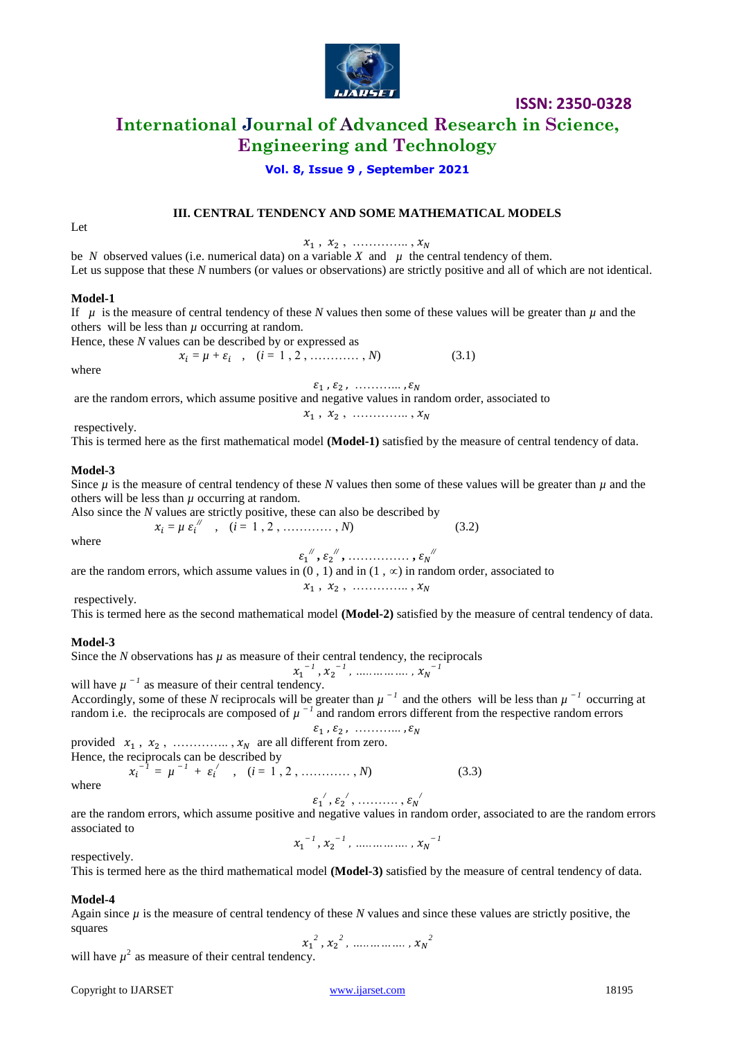

## **International Journal of Advanced Research in Science, Engineering and Technology**

## **Vol. 8, Issue 9 , September 2021**

### **III. CENTRAL TENDENCY AND SOME MATHEMATICAL MODELS**

 $x_1, x_2, \dots \dots \dots \dots,$ 

be *N* observed values (i.e. numerical data) on a variable *X* and  $\mu$  the central tendency of them. Let us suppose that these N numbers (or values or observations) are strictly positive and all of which are not identical.

#### **Model-1**

Let

If  $\mu$  is the measure of central tendency of these *N* values then some of these values will be greater than  $\mu$  and the others will be less than  $\mu$  occurring at random.

Hence, these *N* values can be described by or expressed as

 $x_i = \mu + \varepsilon_i$ ,  $(i = 1, 2, \dots, N)$  (3.1)

where

 $\mathcal{E}_1$ ,  $\mathcal{E}_2$ , .............

are the random errors, which assume positive and negative values in random order, associated to

 $x_1, x_2, \dots \dots \dots \dots,$ 

respectively.

This is termed here as the first mathematical model **(Model-1)** satisfied by the measure of central tendency of data.

#### **Model-3**

Since  $\mu$  is the measure of central tendency of these *N* values then some of these values will be greater than  $\mu$  and the others will be less than  $\mu$  occurring at random.

Also since the *N* values are strictly positive, these can also be described by

where

where 
$$
x_i = \mu \varepsilon_i^N
$$
,  $(i = 1, 2, \dots, N)$  (3.2)

 $\varepsilon_1^{\;\prime\prime}, \varepsilon_2^{\;\prime\prime}, \ldots \ldots \ldots \ldots, \varepsilon_N^{\;\prime\prime}$ are the random errors, which assume values in  $(0, 1)$  and in  $(1, \infty)$  in random order, associated to

respectively.

This is termed here as the second mathematical model **(Model-2)** satisfied by the measure of central tendency of data.

 $x_1, x_2, \dots \dots \dots \dots,$ 

#### **Model-3**

Since the *N* observations has  $\mu$  as measure of their central tendency, the reciprocals  $x_1^{-1}$  *1 1*

$$
x_1
$$
,  $x_2$ <sup>-1</sup>, .......  $x_N$ 

will have  $\mu^{-1}$  as measure of their central tendency. Accordingly, some of these N reciprocals will be greater than  $\mu^{-1}$  and the others will be less than  $\mu^{-1}$  occurring at random i.e. the reciprocals are composed of  $\mu^{-1}$  and random errors different from the respective random errors

 $\mathcal{E}_1$ ,  $\mathcal{E}_2$ , ............. provided  $x_1, x_2, \dots, x_N$  are all different from zero.

Hence, the reciprocals can be described by  $x_i^{-1} = \mu^{-1} + \varepsilon_i'$ ,  $(i = 1, 2, \dots, N)$  (3.3)

where

$$
\varepsilon_1^{\;\prime},\varepsilon_2^{\;\prime},\,\ldots\ldots\ldots,\varepsilon_N^{\;\prime}
$$

are the random errors, which assume positive and negative values in random order, associated to are the random errors associated to  $\overline{\phantom{0}}$ 

$$
x_1^{-1}, x_2^{-1}, \dots, x_N
$$

respectively.

This is termed here as the third mathematical model **(Model-3)** satisfied by the measure of central tendency of data.

## **Model-4**

Again since  $\mu$  is the measure of central tendency of these *N* values and since these values are strictly positive, the squares

$$
x_1^2
$$
,  $x_2^2$ , ………,  $x_N^2$ 

will have  $\mu^2$  as measure of their central tendency.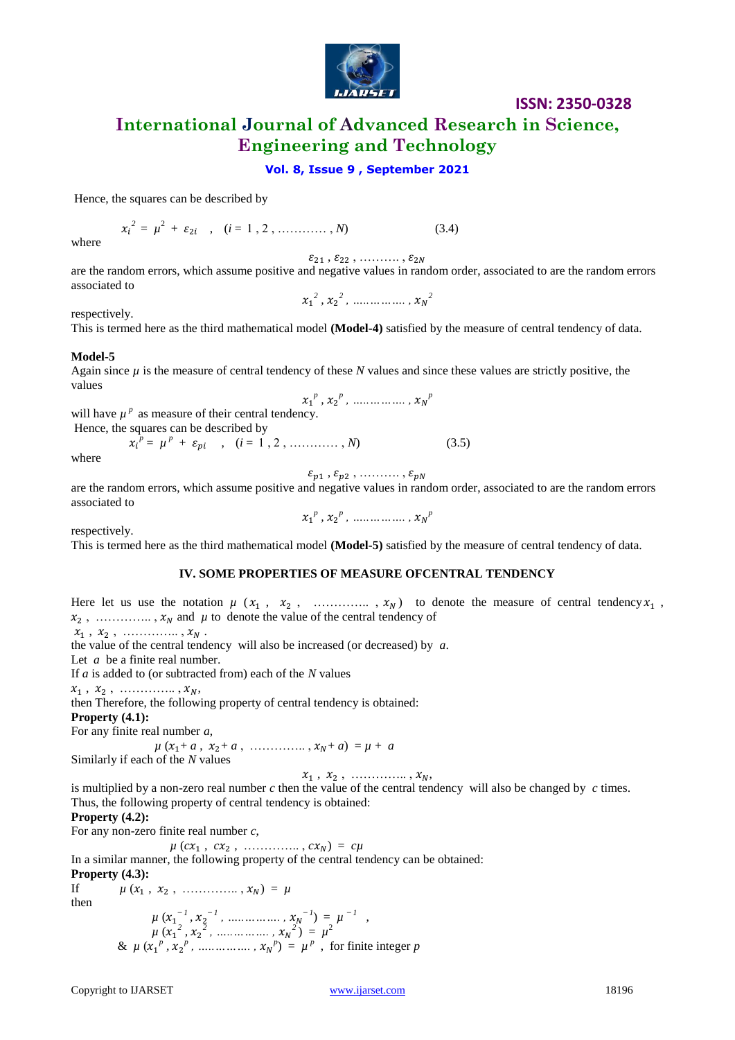

**International Journal of Advanced Research in Science, Engineering and Technology**

#### **Vol. 8, Issue 9 , September 2021**

Hence, the squares can be described by

$$
x_i^2 = \mu^2 + \varepsilon_{2i} \quad , \quad (i = 1, 2, \dots, N) \tag{3.4}
$$

where

 $\varepsilon_{21}$  ,  $\varepsilon_{22}$  ,  $\dots\dots\dots$  ,  $\varepsilon_{2N}$ 

are the random errors, which assume positive and negative values in random order, associated to are the random errors associated to *2 , 2 , …..………. , 2* 

respectively.

This is termed here as the third mathematical model **(Model-4)** satisfied by the measure of central tendency of data.

#### **Model-5**

Again since  $\mu$  is the measure of central tendency of these *N* values and since these values are strictly positive, the values  $x_1^p, x_2^p, \dots, x_N^p$ 

will have  $\mu^p$  as measure of their central tendency.

Hence, the squares can be described by

 $p^p = \mu^p + \varepsilon_{pi}$ ,  $(i = 1, 2, \dots, N)$  (3.5)

where

 $\varepsilon_{p1}$ ,  $\varepsilon_{p2}$ , ..........,

are the random errors, which assume positive and negative values in random order, associated to are the random errors associated to  $x_1^p, x_2^p, \dots, x_N^p$ 

respectively.

This is termed here as the third mathematical model **(Model-5)** satisfied by the measure of central tendency of data.

#### **IV. SOME PROPERTIES OF MEASURE OFCENTRAL TENDENCY**

Here let us use the notation  $\mu$  ( $x_1$ ,  $x_2$ , .............,  $x_N$ ) to denote the measure of central tendency  $x_1$ ,  $x_2$ , .............,  $x_N$  and  $\mu$  to denote the value of the central tendency of  $x_1, x_2, \dots, x_N$ . the value of the central tendency will also be increased (or decreased) by *a*. Let *a* be a finite real number. If *a* is added to (or subtracted from) each of the *N* values  $x_1, x_2, \dots, x_N,$ then Therefore, the following property of central tendency is obtained: **Property (4.1):** For any finite real number *a*,  $\mu$  ( $x_1 + a$ ,  $x_2 + a$ , …………,  $x_N + a$ ) =  $\mu + a$ Similarly if each of the *N* values  $x_1, x_2, \dots, x_N,$ is multiplied by a non-zero real number *c* then the value of the central tendency will also be changed by *c* times. Thus, the following property of central tendency is obtained: **Property (4.2):** For any non-zero finite real number *c*,  $\mu$  (*cx*<sub>1</sub>, *cx*<sub>2</sub>, ............., *cx*<sub>N</sub>) = *c* $\mu$ In a similar manner, the following property of the central tendency can be obtained: **Property (4.3):** If  $\mu (x_1, x_2, \dots, x_N) = \mu$ then  $\mu(x_1^{-1}, x_2^{-1}, \dots, x_N^{-1}) = \mu^{-1}$ 

 $\mu(x_1^2, x_2^2, \dots, x_N^2) = \mu^2$ &  $\mu$  ( $x_1^p$ ,  $x_2^p$ , ...............,  $x_N^p$ ) =  $\mu^p$ , for finite integer *p*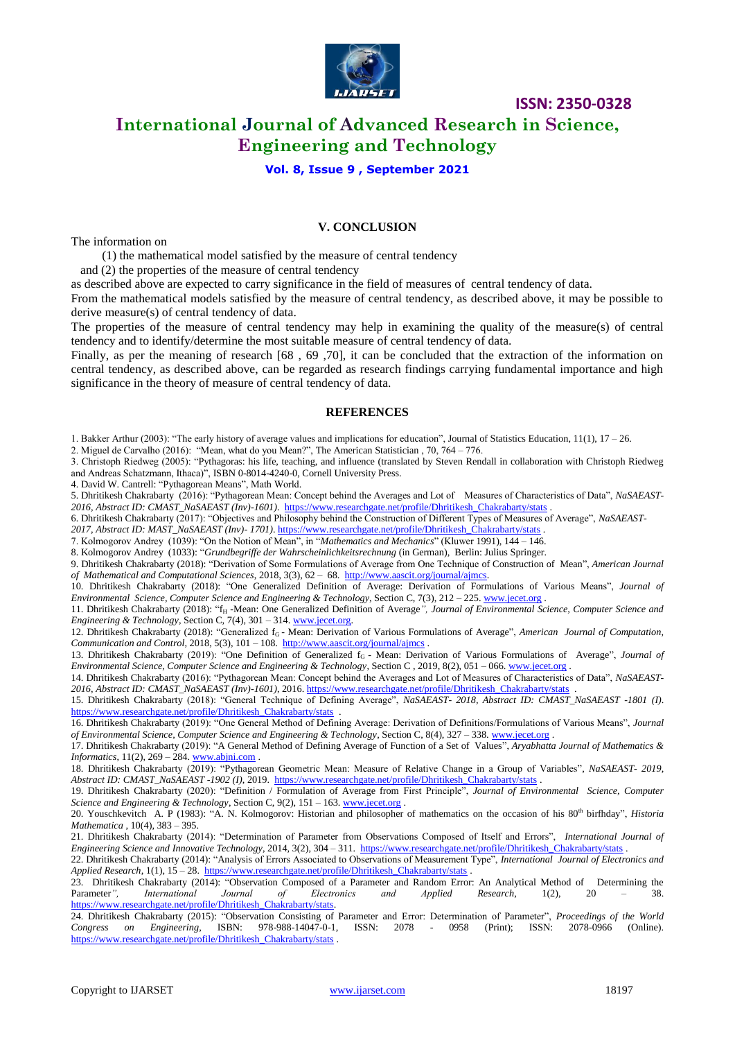

# **International Journal of Advanced Research in Science, Engineering and Technology**

#### **Vol. 8, Issue 9 , September 2021**

#### **V. CONCLUSION**

The information on

(1) the mathematical model satisfied by the measure of central tendency

and (2) the properties of the measure of central tendency

as described above are expected to carry significance in the field of measures of central tendency of data.

From the mathematical models satisfied by the measure of central tendency, as described above, it may be possible to derive measure(s) of central tendency of data.

The properties of the measure of central tendency may help in examining the quality of the measure(s) of central tendency and to identify/determine the most suitable measure of central tendency of data.

Finally, as per the meaning of research [68 , 69 ,70], it can be concluded that the extraction of the information on central tendency, as described above, can be regarded as research findings carrying fundamental importance and high significance in the theory of measure of central tendency of data.

#### **REFERENCES**

1. Bakker Arthur (2003): "The early history of average values and implications for education", Journal of Statistics Education, 11(1), 17 ‒ 26.

2. Miguel de Carvalho (2016): "Mean, what do you Mean?", The American Statistician , 70, 764 – 776.

3. Christoph Riedweg (2005): "Pythagoras: his life, teaching, and influence (translated by Steven Rendall in collaboration with Christoph Riedweg and Andreas Schatzmann, Ithaca)", ISBN 0-8014-4240-0, Cornell University Press.

4. David W. Cantrell: "Pythagorean Means", Math World.

5. Dhritikesh Chakrabarty (2016): "Pythagorean Mean: Concept behind the Averages and Lot of Measures of Characteristics of Data", *NaSAEAST-2016, Abstract ID: CMAST\_NaSAEAST (Inv)-1601)*. [https://www.researchgate.net/profile/Dhritikesh\\_Chakrabarty/stats](https://www.researchgate.net/profile/Dhritikesh_Chakrabarty/stats) .

- 6. Dhritikesh Chakrabarty (2017): "Objectives and Philosophy behind the Construction of Different Types of Measures of Average", *NaSAEAST-*
- *2017, Abstract ID: MAST\_NaSAEAST (Inv)- 1701)*[. https://www.researchgate.net/profile/Dhritikesh\\_Chakrabarty/stats](https://www.researchgate.net/profile/Dhritikesh_Chakrabarty/stats) .

7. Kolmogorov Andrey (1039): "On the Notion of Mean", in "*Mathematics and Mechanics*" (Kluwer 1991), 144 – 146.

8. Kolmogorov Andrey (1033): "*Grundbegriffe der Wahrscheinlichkeitsrechnung* (in German), Berlin: Julius Springer.

9. Dhritikesh Chakrabarty (2018): "Derivation of Some Formulations of Average from One Technique of Construction of Mean", *American Journal of Mathematical and Computational Sciences*, 2018, 3(3), 62 – 68. [http://www.aascit.org/journal/ajmcs.](http://www.aascit.org/journal/ajmcs)

10. Dhritikesh Chakrabarty (2018): "One Generalized Definition of Average: Derivation of Formulations of Various Means", *Journal of Environmental Science, Computer Science and Engineering & Technology*, Section C, 7(3), 212 – 225. [www.jecet.org](http://www.jecet.org/) .

11. Dhritikesh Chakrabarty (2018): "f<sub>H</sub> -Mean: One Generalized Definition of Average", Journal of Environmental Science, Computer Science and *Engineering & Technology*, Section C, 7(4), 301 – 314[. www.jecet.org.](http://www.jecet.org/)

12. Dhritikesh Chakrabarty (2018): "Generalized f<sub>G</sub> - Mean: Derivation of Various Formulations of Average", American Journal of Computation, *Communication and Control*, 2018, 5(3), 101 – 108.<http://www.aascit.org/journal/ajmcs> .

13. Dhritikesh Chakrabarty (2019): "One Definition of Generalized f<sub>G</sub> - Mean: Derivation of Various Formulations of Average", *Journal of Environmental Science, Computer Science and Engineering & Technology*, Section C , 2019, 8(2), 051 – 066[. www.jecet.org](http://www.jecet.org/) .

14. Dhritikesh Chakrabarty (2016): "Pythagorean Mean: Concept behind the Averages and Lot of Measures of Characteristics of Data", *NaSAEAST-2016, Abstract ID: CMAST\_NaSAEAST (Inv)-1601)*, 2016[. https://www.researchgate.net/profile/Dhritikesh\\_Chakrabarty/stats](https://www.researchgate.net/profile/Dhritikesh_Chakrabarty/stats) .

15. Dhritikesh Chakrabarty (2018): "General Technique of Defining Average", *NaSAEAST- 2018, Abstract ID: CMAST\_NaSAEAST -1801 (I)*. https://www.researchgate.net/profile/Dhritikesh\_Chakrabarty/stats

16. Dhritikesh Chakrabarty (2019): "One General Method of Defining Average: Derivation of Definitions/Formulations of Various Means", *Journal of Environmental Science, Computer Science and Engineering & Technology*, Section C, 8(4), 327 – 338[. www.jecet.org](http://www.jecet.org/) .

17. Dhritikesh Chakrabarty (2019): "A General Method of Defining Average of Function of a Set of Values", *Aryabhatta Journal of Mathematics &*   $Informatics, 11(2), 269 - 284.$  [www.abjni.com](http://www.abjni.com/).

18. Dhritikesh Chakrabarty (2019): "Pythagorean Geometric Mean: Measure of Relative Change in a Group of Variables", *NaSAEAST- 2019, Abstract ID: CMAST\_NaSAEAST -1902 (I)*, 2019. [https://www.researchgate.net/profile/Dhritikesh\\_Chakrabarty/stats](https://www.researchgate.net/profile/Dhritikesh_Chakrabarty/stats) .

19. Dhritikesh Chakrabarty (2020): "Definition / Formulation of Average from First Principle", *Journal of Environmental Science, Computer Science and Engineering & Technology*, Section C, 9(2), 151 – 163. [www.jecet.org](http://www.jecet.org/) .

20. Youschkevitch A. P (1983): "A. N. Kolmogorov: Historian and philosopher of mathematics on the occasion of his 80<sup>th</sup> birfhday", *Historia Mathematica* , 10(4), 383 – 395.

21. Dhritikesh Chakrabarty (2014): "Determination of Parameter from Observations Composed of Itself and Errors", *International Journal of Engineering Science and Innovative Technology*, 2014, 3(2), 304 – 311. [https://www.researchgate.net/profile/Dhritikesh\\_Chakrabarty/stats](https://www.researchgate.net/profile/Dhritikesh_Chakrabarty/stats) .

22. Dhritikesh Chakrabarty (2014): "Analysis of Errors Associated to Observations of Measurement Type", *International Journal of Electronics and Applied Research*, 1(1), 15 – 28. [https://www.researchgate.net/profile/Dhritikesh\\_Chakrabarty/stats](https://www.researchgate.net/profile/Dhritikesh_Chakrabarty/stats) .

23. Dhritikesh Chakrabarty (2014): "Observation Composed of a Parameter and Random Error: An Analytical Method of Determining the Parameter", International Journal of Electronics and Applied Research, 1(2), 20 – 38. Parameter*", International Journal of Electronics and Applied Research*, 1(2), 20 – 38. [https://www.researchgate.net/profile/Dhritikesh\\_Chakrabarty/stats.](https://www.researchgate.net/profile/Dhritikesh_Chakrabarty/stats) 

24. Dhritikesh Chakrabarty (2015): "Observation Consisting of Parameter and Error: Determination of Parameter", *Proceedings of the World Congress on Engineering*, ISBN: 978-988-14047-0-1, ISSN: 2078 - 0958 (Print); ISSN: 2078-0966 (Online). [https://www.researchgate.net/profile/Dhritikesh\\_Chakrabarty/stats](https://www.researchgate.net/profile/Dhritikesh_Chakrabarty/stats) .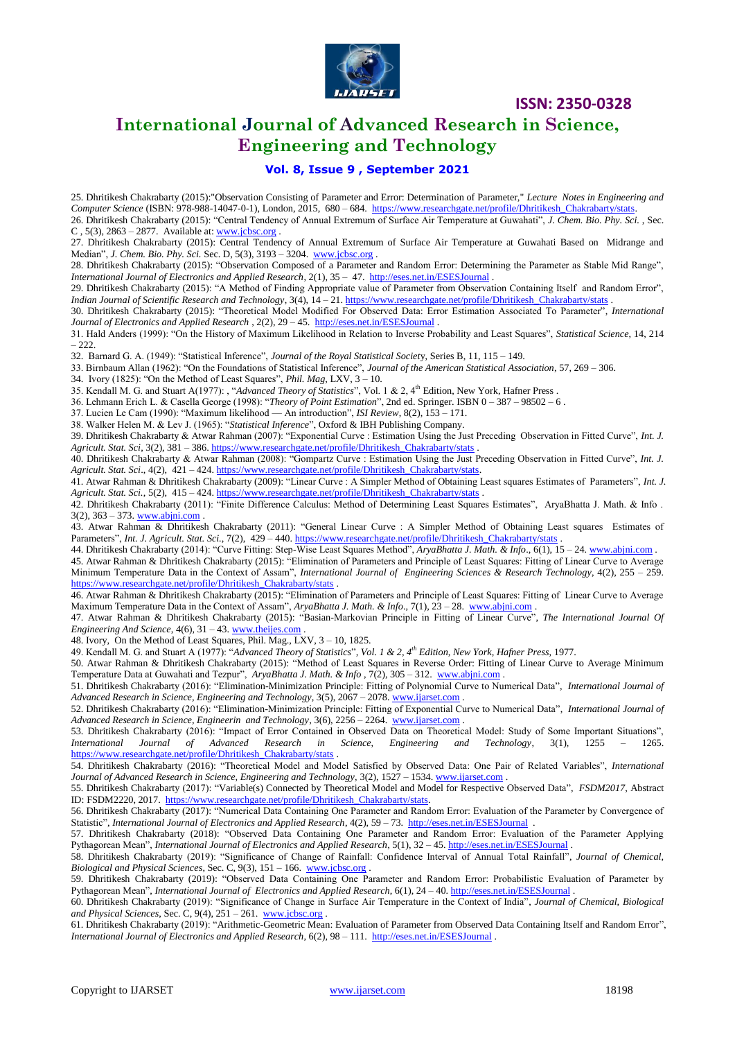

# **International Journal of Advanced Research in Science, Engineering and Technology**

#### **Vol. 8, Issue 9 , September 2021**

25. Dhritikesh Chakrabarty (2015):"Observation Consisting of Parameter and Error: Determination of Parameter," *Lecture Notes in Engineering and*  Computer Science (ISBN: 978-988-14047-0-1), London, 2015, 680 - 684. [https://www.researchgate.net/profile/Dhritikesh\\_Chakrabarty/stats.](https://www.researchgate.net/profile/Dhritikesh_Chakrabarty/stats)

26. Dhritikesh Chakrabarty (2015): "Central Tendency of Annual Extremum of Surface Air Temperature at Guwahati", *J. Chem. Bio. Phy. Sci.* , Sec. C,  $5(3)$ ,  $2863 - 2877$ . Available at: **www.jcbsc.org**.

27. Dhritikesh Chakrabarty (2015): Central Tendency of Annual Extremum of Surface Air Temperature at Guwahati Based on Midrange and Median", *J. Chem. Bio. Phy. Sci.* Sec. D, 5(3), 3193 – 3204. [www.jcbsc.org](http://www.jcbsc.org/) .

28. Dhritikesh Chakrabarty (2015): "Observation Composed of a Parameter and Random Error: Determining the Parameter as Stable Mid Range", *International Journal of Electronics and Applied Research*, 2(1), 35 – 47.<http://eses.net.in/ESESJournal> .

29. Dhritikesh Chakrabarty (2015): "A Method of Finding Appropriate value of Parameter from Observation Containing Itself and Random Error", *Indian Journal of Scientific Research and Technology*, 3(4), 14 – 21. [https://www.researchgate.net/profile/Dhritikesh\\_Chakrabarty/stats](https://www.researchgate.net/profile/Dhritikesh_Chakrabarty/stats) .

30. Dhritikesh Chakrabarty (2015): "Theoretical Model Modified For Observed Data: Error Estimation Associated To Parameter", *International Journal of Electronics and Applied Research* , 2(2), 29 – 45.<http://eses.net.in/ESESJournal> .

31. Hald Anders (1999): "On the History of Maximum Likelihood in Relation to Inverse Probability and Least Squares", *Statistical Science*, 14, 214  $-222$ 

32. Barnard G. A. (1949): "Statistical Inference", *Journal of the Royal Statistical Societ*y, Series B, 11, 115 – 149.

33. Birnbaum Allan (1962): "On the Foundations of Statistical Inference", *Journal of the American Statistical Association*, 57, 269 – 306.

34. Ivory (1825): "On the Method of Least Squares", *Phil. Mag*, LXV, 3 – 10.

35. Kendall M. G. and Stuart A(1977): , "Advanced Theory of Statistics", Vol. 1 & 2, 4<sup>th</sup> Edition, New York, Hafner Press.

36. Lehmann Erich L. & Casella George (1998): "*Theory of Point Estimation*", 2nd ed. Springer. ISBN 0 – 387 – 98502 – 6 .

37. Lucien Le Cam (1990): "Maximum likelihood — An introduction", *ISI Review*, 8(2), 153 – 171.

38. Walker Helen M. & Lev J. (1965): "*Statistical Inference*", Oxford & IBH Publishing Company.

39. Dhritikesh Chakrabarty & Atwar Rahman (2007): "Exponential Curve : Estimation Using the Just Preceding Observation in Fitted Curve", *Int. J. Agricult. Stat. Sci*, 3(2), 381 – 386[. https://www.researchgate.net/profile/Dhritikesh\\_Chakrabarty/stats](https://www.researchgate.net/profile/Dhritikesh_Chakrabarty/stats) .

40. Dhritikesh Chakrabarty & Atwar Rahman (2008): "Gompartz Curve : Estimation Using the Just Preceding Observation in Fitted Curve", *Int. J. Agricult. Stat. Sci*., 4(2), 421 – 424[. https://www.researchgate.net/profile/Dhritikesh\\_Chakrabarty/stats.](https://www.researchgate.net/profile/Dhritikesh_Chakrabarty/stats)

41. Atwar Rahman & Dhritikesh Chakrabarty (2009): "Linear Curve : A Simpler Method of Obtaining Least squares Estimates of Parameters", *Int. J. Agricult. Stat. Sci.*, 5(2), 415 – 424[. https://www.researchgate.net/profile/Dhritikesh\\_Chakrabarty/stats](https://www.researchgate.net/profile/Dhritikesh_Chakrabarty/stats) .

42. Dhritikesh Chakrabarty (2011): "Finite Difference Calculus: Method of Determining Least Squares Estimates", AryaBhatta J. Math. & Info .  $3(2)$ ,  $363 - 373$ [. www.abjni.com](http://www.abjni.com/).

43. Atwar Rahman & Dhritikesh Chakrabarty (2011): "General Linear Curve : A Simpler Method of Obtaining Least squares Estimates of Parameters", *Int. J. Agricult. Stat. Sci.*, 7(2), 429 – 440. https://www.researchgate.net/profile/Dhritikesh\_Chakrabarty/stat

44. Dhritikesh Chakrabarty (2014): "Curve Fitting: Step-Wise Least Squares Method", *AryaBhatta J. Math. & Info*., 6(1), 15 – 24[. www.abjni.com](http://www.abjni.com/) .

45. Atwar Rahman & Dhritikesh Chakrabarty (2015): "Elimination of Parameters and Principle of Least Squares: Fitting of Linear Curve to Average Minimum Temperature Data in the Context of Assam", *International Journal of Engineering Sciences & Research Technology*, 4(2), 255 – 259. [https://www.researchgate.net/profile/Dhritikesh\\_Chakrabarty/stats](https://www.researchgate.net/profile/Dhritikesh_Chakrabarty/stats) .

46. Atwar Rahman & Dhritikesh Chakrabarty (2015): "Elimination of Parameters and Principle of Least Squares: Fitting of Linear Curve to Average Maximum Temperature Data in the Context of Assam", *AryaBhatta J. Math. & Info*., 7(1), 23 – 28. [www.abjni.com](http://www.abjni.com/) .

47. Atwar Rahman & Dhritikesh Chakrabarty (2015): "Basian-Markovian Principle in Fitting of Linear Curve", *The International Journal Of Engineering And Science*, 4(6), 31 - 43. [www.theijes.com](http://www.theijes.com/)

48. Ivory, On the Method of Least Squares, Phil. Mag., LXV, 3 – 10, 1825.

49. Kendall M. G. and Stuart A (1977): "*Advanced Theory of Statistics*"*, Vol. 1 & 2, 4th Edition, New York, Hafner Press,* 1977.

50. Atwar Rahman & Dhritikesh Chakrabarty (2015): "Method of Least Squares in Reverse Order: Fitting of Linear Curve to Average Minimum Temperature Data at Guwahati and Tezpur", *AryaBhatta J. Math. & Info* , 7(2), 305 – 312. [www.abjni.com](http://www.abjni.com/) .

51. Dhritikesh Chakrabarty (2016): "Elimination-Minimization Principle: Fitting of Polynomial Curve to Numerical Data", *International Journal of Advanced Research in Science, Engineering and Technology*, 3(5), 2067 – 2078. [www.ijarset.com](http://www.ijarset.com/) .

52. Dhritikesh Chakrabarty (2016): "Elimination-Minimization Principle: Fitting of Exponential Curve to Numerical Data", *International Journal of Advanced Research in Science, Engineerin and Technology*, 3(6), 2256 – 2264. [www.ijarset.com](http://www.ijarset.com/) .

53. Dhritikesh Chakrabarty (2016): "Impact of Error Contained in Observed Data on Theoretical Model: Study of Some Important Situations", *International Journal of Advanced Research in Science, Engineering and Technology*, 3(1), 1255 – 1265. [https://www.researchgate.net/profile/Dhritikesh\\_Chakrabarty/stats](https://www.researchgate.net/profile/Dhritikesh_Chakrabarty/stats)

54. Dhritikesh Chakrabarty (2016): "Theoretical Model and Model Satisfied by Observed Data: One Pair of Related Variables", *International*  Journal of Advanced Research in Science, Engineering and Technology, 3(2), 1527 - 1534[. www.ijarset.com](http://www.ijarset.com/)

55. Dhritikesh Chakrabarty (2017): "Variable(s) Connected by Theoretical Model and Model for Respective Observed Data", *FSDM2017*, Abstract ID: FSDM2220, 2017. [https://www.researchgate.net/profile/Dhritikesh\\_Chakrabarty/stats.](https://www.researchgate.net/profile/Dhritikesh_Chakrabarty/stats)

56. Dhritikesh Chakrabarty (2017): "Numerical Data Containing One Parameter and Random Error: Evaluation of the Parameter by Convergence of Statistic", *International Journal of Electronics and Applied Research*, 4(2), 59 – 73.<http://eses.net.in/ESESJournal>.

57. Dhritikesh Chakrabarty (2018): "Observed Data Containing One Parameter and Random Error: Evaluation of the Parameter Applying Pythagorean Mean", *International Journal of Electronics and Applied Research*, 5(1), 32 – 45[. http://eses.net.in/ESESJournal](http://eses.net.in/ESESJournal)

58. Dhritikesh Chakrabarty (2019): "Significance of Change of Rainfall: Confidence Interval of Annual Total Rainfall", *Journal of Chemical, Biological and Physical Sciences*, Sec. C, 9(3), 151 – 166. [www.jcbsc.org](http://www.jcbsc.org/) .

59. Dhritikesh Chakrabarty (2019): "Observed Data Containing One Parameter and Random Error: Probabilistic Evaluation of Parameter by Pythagorean Mean", *International Journal of Electronics and Applied Research*, 6(1), 24 – 40[. http://eses.net.in/ESESJournal](http://eses.net.in/ESESJournal) .

60. Dhritikesh Chakrabarty (2019): "Significance of Change in Surface Air Temperature in the Context of India", *Journal of Chemical, Biological and Physical Sciences*, Sec. C, 9(4), 251 – 261. [www.jcbsc.org](http://www.jcbsc.org/) .

61. Dhritikesh Chakrabarty (2019): "Arithmetic-Geometric Mean: Evaluation of Parameter from Observed Data Containing Itself and Random Error", *International Journal of Electronics and Applied Research*, 6(2), 98 – 111.<http://eses.net.in/ESESJournal> .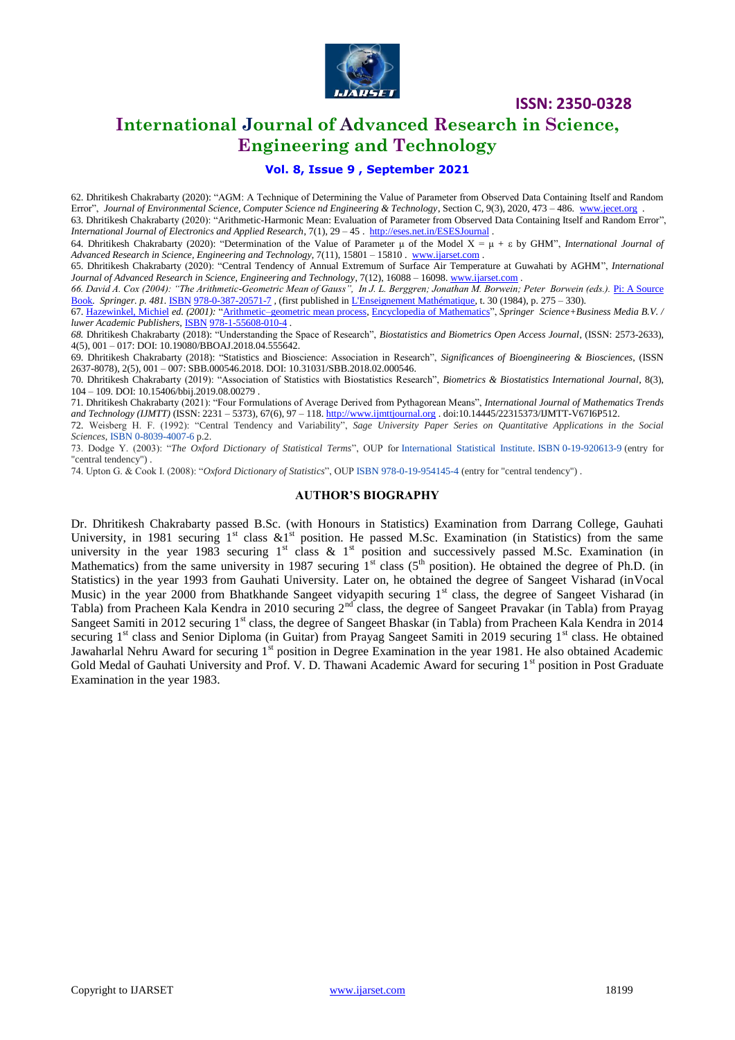

# **International Journal of Advanced Research in Science, Engineering and Technology**

#### **Vol. 8, Issue 9 , September 2021**

62. Dhritikesh Chakrabarty (2020): "AGM: A Technique of Determining the Value of Parameter from Observed Data Containing Itself and Random Error", *Journal of Environmental Science, Computer Science nd Engineering & Technology*, Section C, 9(3), 2020, 473 – 486. [www.jecet.org](http://www.jecet.org/) . 63. Dhritikesh Chakrabarty (2020): "Arithmetic-Harmonic Mean: Evaluation of Parameter from Observed Data Containing Itself and Random Error",

*International Journal of Electronics and Applied Research*, 7(1), 29 – 45 .<http://eses.net.in/ESESJournal> .

64. Dhritikesh Chakrabarty (2020): "Determination of the Value of Parameter μ of the Model X = μ + by GHM", *International Journal of Advanced Research in Science, Engineering and Technology*, 7(11), 15801 – 15810 . [www.ijarset.com](http://www.ijarset.com/) .

65. Dhritikesh Chakrabarty (2020): "Central Tendency of Annual Extremum of Surface Air Temperature at Guwahati by AGHM", *International Journal of Advanced Research in Science, Engineering and Technology*, 7(12), 16088 – 16098[. www.ijarset.com](http://www.ijarset.com/) .

*66. David A. Cox (2004): "The Arithmetic-Geometric Mean of Gauss", In J. L. Berggren; Jonathan M. Borwein; Peter Borwein (eds.).* [Pi: A Source](https://books.google.com/books?id=QlbzjN_5pDoC&pg=PA481)  [Book](https://books.google.com/books?id=QlbzjN_5pDoC&pg=PA481)*. Springer. p. 481.* [ISBN](https://en.wikipedia.org/wiki/International_Standard_Book_Number) [978-0-387-20571-7](https://en.wikipedia.org/wiki/Special:BookSources/978-0-387-20571-7) *,* (first published i[n L'Enseignement Mathématique,](https://en.wikipedia.org/wiki/L%27Enseignement_Math%C3%A9matique) t. 30 (1984), p. 275 – 330).

67. [Hazewinkel, Michiel](https://en.wikipedia.org/wiki/Michiel_Hazewinkel) *ed. (2001):* ["Arithmetic–geometric mean process](https://www.encyclopediaofmath.org/index.php?title=a/a130280)*,* [Encyclopedia of Mathematics"](https://en.wikipedia.org/wiki/Encyclopedia_of_Mathematics), *Springer Science+Business Media B.V. / luwer Academic Publishers,* [ISBN](https://en.wikipedia.org/wiki/International_Standard_Book_Number) [978-1-55608-010-4](https://en.wikipedia.org/wiki/Special:BookSources/978-1-55608-010-4) *.*

*68.* Dhritikesh Chakrabarty (2018): "Understanding the Space of Research", *Biostatistics and Biometrics Open Access Journal*, (ISSN: 2573-2633), 4(5), 001 – 017: DOI: 10.19080/BBOAJ.2018.04.555642.

69. Dhritikesh Chakrabarty (2018): "Statistics and Bioscience: Association in Research", *Significances of Bioengineering & Biosciences*, (ISSN 2637-8078), 2(5), 001 – 007: SBB.000546.2018. DOI: 10.31031/SBB.2018.02.000546.

70. Dhritikesh Chakrabarty (2019): "Association of Statistics with Biostatistics Research", *Biometrics & Biostatistics International Journal*, 8(3), 104 – 109. DOI: 10.15406/bbij.2019.08.00279 .

71. Dhritikesh Chakrabarty (2021): "Four Formulations of Average Derived from Pythagorean Means", *International Journal of Mathematics Trends and Technology (IJMTT)* (ISSN: 2231 – 5373), 67(6), 97 – 118[. http://www.ijmttjournal.org](http://www.ijmttjournal.org/) . doi:10.14445/22315373/IJMTT-V67I6P512.

72. Weisberg H. F. (1992): "Central Tendency and Variability", *Sage University Paper Series on Quantitative Applications in the Social Sciences*, [ISBN](https://en.wikipedia.org/wiki/ISBN_(identifier)) [0-8039-4007-6](https://en.wikipedia.org/wiki/Special:BookSources/0-8039-4007-6) p.2.

73. Dodge Y. (2003): "*The Oxford Dictionary of Statistical Terms*", OUP for [International Statistical Institute.](https://en.wikipedia.org/wiki/International_Statistical_Institute) [ISBN](https://en.wikipedia.org/wiki/ISBN_(identifier)) [0-19-920613-9](https://en.wikipedia.org/wiki/Special:BookSources/0-19-920613-9) (entry for "central tendency") .

74. Upton G. & Cook I. (2008): "*Oxford Dictionary of Statistics*", OUP [ISBN](https://en.wikipedia.org/wiki/ISBN_(identifier)) [978-0-19-954145-4](https://en.wikipedia.org/wiki/Special:BookSources/978-0-19-954145-4) (entry for "central tendency") .

#### **AUTHOR'S BIOGRAPHY**

Dr. Dhritikesh Chakrabarty passed B.Sc. (with Honours in Statistics) Examination from Darrang College, Gauhati University, in 1981 securing  $1^{st}$  class  $&1^{st}$  position. He passed M.Sc. Examination (in Statistics) from the same university in the year 1983 securing  $1<sup>st</sup>$  class &  $1<sup>st</sup>$  position and successively passed M.Sc. Examination (in Mathematics) from the same university in 1987 securing  $1<sup>st</sup>$  class ( $5<sup>th</sup>$  position). He obtained the degree of Ph.D. (in Statistics) in the year 1993 from Gauhati University. Later on, he obtained the degree of Sangeet Visharad (inVocal Music) in the year 2000 from Bhatkhande Sangeet vidyapith securing 1<sup>st</sup> class, the degree of Sangeet Visharad (in Tabla) from Pracheen Kala Kendra in 2010 securing 2<sup>nd</sup> class, the degree of Sangeet Pravakar (in Tabla) from Prayag Sangeet Samiti in 2012 securing 1<sup>st</sup> class, the degree of Sangeet Bhaskar (in Tabla) from Pracheen Kala Kendra in 2014 securing  $1<sup>st</sup>$  class and Senior Diploma (in Guitar) from Prayag Sangeet Samiti in 2019 securing  $1<sup>st</sup>$  class. He obtained Jawaharlal Nehru Award for securing 1<sup>st</sup> position in Degree Examination in the year 1981. He also obtained Academic Gold Medal of Gauhati University and Prof. V. D. Thawani Academic Award for securing 1<sup>st</sup> position in Post Graduate Examination in the year 1983.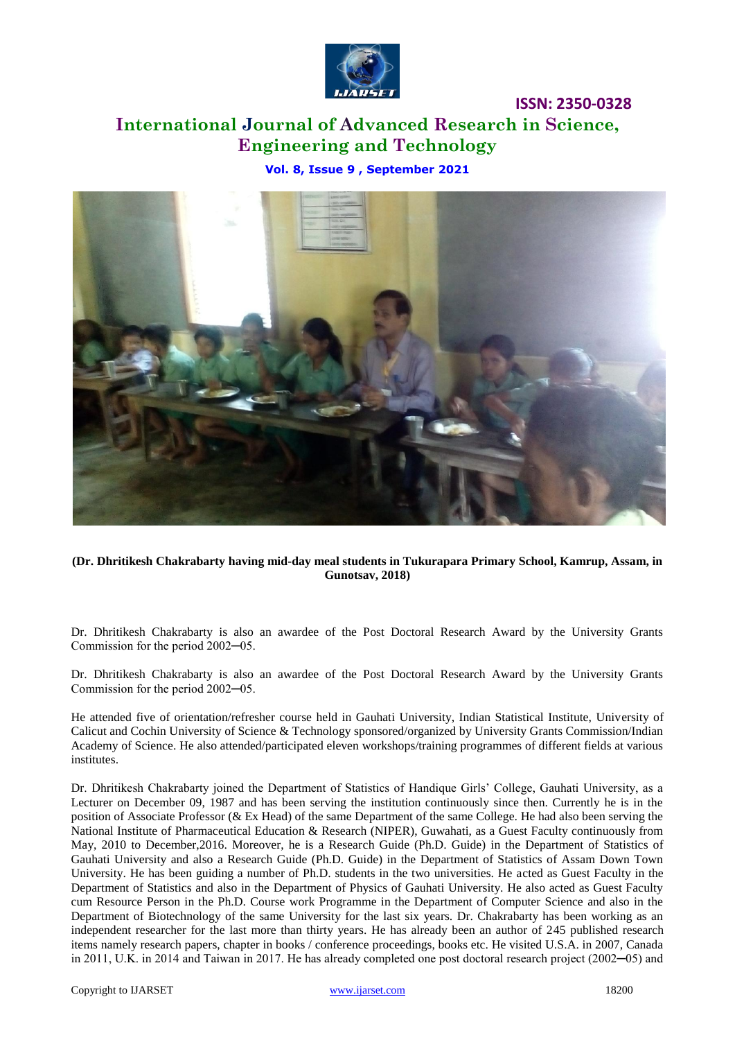

# **International Journal of Advanced Research in Science, Engineering and Technology**

**Vol. 8, Issue 9 , September 2021**



**(Dr. Dhritikesh Chakrabarty having mid-day meal students in Tukurapara Primary School, Kamrup, Assam, in Gunotsav, 2018)**

Dr. Dhritikesh Chakrabarty is also an awardee of the Post Doctoral Research Award by the University Grants Commission for the period 2002─05.

Dr. Dhritikesh Chakrabarty is also an awardee of the Post Doctoral Research Award by the University Grants Commission for the period 2002─05.

He attended five of orientation/refresher course held in Gauhati University, Indian Statistical Institute, University of Calicut and Cochin University of Science & Technology sponsored/organized by University Grants Commission/Indian Academy of Science. He also attended/participated eleven workshops/training programmes of different fields at various institutes.

Dr. Dhritikesh Chakrabarty joined the Department of Statistics of Handique Girls' College, Gauhati University, as a Lecturer on December 09, 1987 and has been serving the institution continuously since then. Currently he is in the position of Associate Professor (& Ex Head) of the same Department of the same College. He had also been serving the National Institute of Pharmaceutical Education & Research (NIPER), Guwahati, as a Guest Faculty continuously from May, 2010 to December,2016. Moreover, he is a Research Guide (Ph.D. Guide) in the Department of Statistics of Gauhati University and also a Research Guide (Ph.D. Guide) in the Department of Statistics of Assam Down Town University. He has been guiding a number of Ph.D. students in the two universities. He acted as Guest Faculty in the Department of Statistics and also in the Department of Physics of Gauhati University. He also acted as Guest Faculty cum Resource Person in the Ph.D. Course work Programme in the Department of Computer Science and also in the Department of Biotechnology of the same University for the last six years. Dr. Chakrabarty has been working as an independent researcher for the last more than thirty years. He has already been an author of 245 published research items namely research papers, chapter in books / conference proceedings, books etc. He visited U.S.A. in 2007, Canada in 2011, U.K. in 2014 and Taiwan in 2017. He has already completed one post doctoral research project (2002─05) and